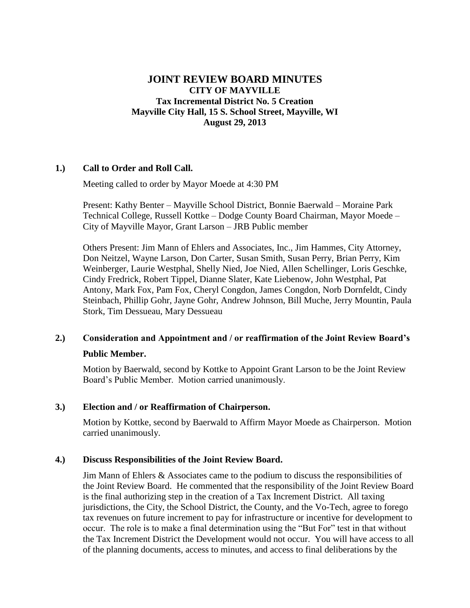# **JOINT REVIEW BOARD MINUTES CITY OF MAYVILLE Tax Incremental District No. 5 Creation Mayville City Hall, 15 S. School Street, Mayville, WI August 29, 2013**

## **1.) Call to Order and Roll Call.**

Meeting called to order by Mayor Moede at 4:30 PM

Present: Kathy Benter – Mayville School District, Bonnie Baerwald – Moraine Park Technical College, Russell Kottke – Dodge County Board Chairman, Mayor Moede – City of Mayville Mayor, Grant Larson – JRB Public member

Others Present: Jim Mann of Ehlers and Associates, Inc., Jim Hammes, City Attorney, Don Neitzel, Wayne Larson, Don Carter, Susan Smith, Susan Perry, Brian Perry, Kim Weinberger, Laurie Westphal, Shelly Nied, Joe Nied, Allen Schellinger, Loris Geschke, Cindy Fredrick, Robert Tippel, Dianne Slater, Kate Liebenow, John Westphal, Pat Antony, Mark Fox, Pam Fox, Cheryl Congdon, James Congdon, Norb Dornfeldt, Cindy Steinbach, Phillip Gohr, Jayne Gohr, Andrew Johnson, Bill Muche, Jerry Mountin, Paula Stork, Tim Dessueau, Mary Dessueau

## **2.) Consideration and Appointment and / or reaffirmation of the Joint Review Board's**

#### **Public Member.**

Motion by Baerwald, second by Kottke to Appoint Grant Larson to be the Joint Review Board's Public Member. Motion carried unanimously.

#### **3.) Election and / or Reaffirmation of Chairperson.**

Motion by Kottke, second by Baerwald to Affirm Mayor Moede as Chairperson. Motion carried unanimously.

#### **4.) Discuss Responsibilities of the Joint Review Board.**

Jim Mann of Ehlers & Associates came to the podium to discuss the responsibilities of the Joint Review Board. He commented that the responsibility of the Joint Review Board is the final authorizing step in the creation of a Tax Increment District. All taxing jurisdictions, the City, the School District, the County, and the Vo-Tech, agree to forego tax revenues on future increment to pay for infrastructure or incentive for development to occur. The role is to make a final determination using the "But For" test in that without the Tax Increment District the Development would not occur. You will have access to all of the planning documents, access to minutes, and access to final deliberations by the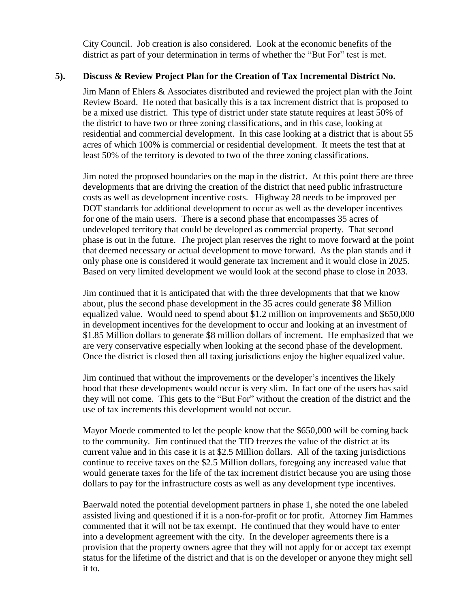City Council. Job creation is also considered. Look at the economic benefits of the district as part of your determination in terms of whether the "But For" test is met.

## **5). Discuss & Review Project Plan for the Creation of Tax Incremental District No.**

Jim Mann of Ehlers & Associates distributed and reviewed the project plan with the Joint Review Board. He noted that basically this is a tax increment district that is proposed to be a mixed use district. This type of district under state statute requires at least 50% of the district to have two or three zoning classifications, and in this case, looking at residential and commercial development. In this case looking at a district that is about 55 acres of which 100% is commercial or residential development. It meets the test that at least 50% of the territory is devoted to two of the three zoning classifications.

Jim noted the proposed boundaries on the map in the district. At this point there are three developments that are driving the creation of the district that need public infrastructure costs as well as development incentive costs. Highway 28 needs to be improved per DOT standards for additional development to occur as well as the developer incentives for one of the main users. There is a second phase that encompasses 35 acres of undeveloped territory that could be developed as commercial property. That second phase is out in the future. The project plan reserves the right to move forward at the point that deemed necessary or actual development to move forward. As the plan stands and if only phase one is considered it would generate tax increment and it would close in 2025. Based on very limited development we would look at the second phase to close in 2033.

Jim continued that it is anticipated that with the three developments that that we know about, plus the second phase development in the 35 acres could generate \$8 Million equalized value. Would need to spend about \$1.2 million on improvements and \$650,000 in development incentives for the development to occur and looking at an investment of \$1.85 Million dollars to generate \$8 million dollars of increment. He emphasized that we are very conservative especially when looking at the second phase of the development. Once the district is closed then all taxing jurisdictions enjoy the higher equalized value.

Jim continued that without the improvements or the developer's incentives the likely hood that these developments would occur is very slim. In fact one of the users has said they will not come. This gets to the "But For" without the creation of the district and the use of tax increments this development would not occur.

Mayor Moede commented to let the people know that the \$650,000 will be coming back to the community. Jim continued that the TID freezes the value of the district at its current value and in this case it is at \$2.5 Million dollars. All of the taxing jurisdictions continue to receive taxes on the \$2.5 Million dollars, foregoing any increased value that would generate taxes for the life of the tax increment district because you are using those dollars to pay for the infrastructure costs as well as any development type incentives.

Baerwald noted the potential development partners in phase 1, she noted the one labeled assisted living and questioned if it is a non-for-profit or for profit. Attorney Jim Hammes commented that it will not be tax exempt. He continued that they would have to enter into a development agreement with the city. In the developer agreements there is a provision that the property owners agree that they will not apply for or accept tax exempt status for the lifetime of the district and that is on the developer or anyone they might sell it to.